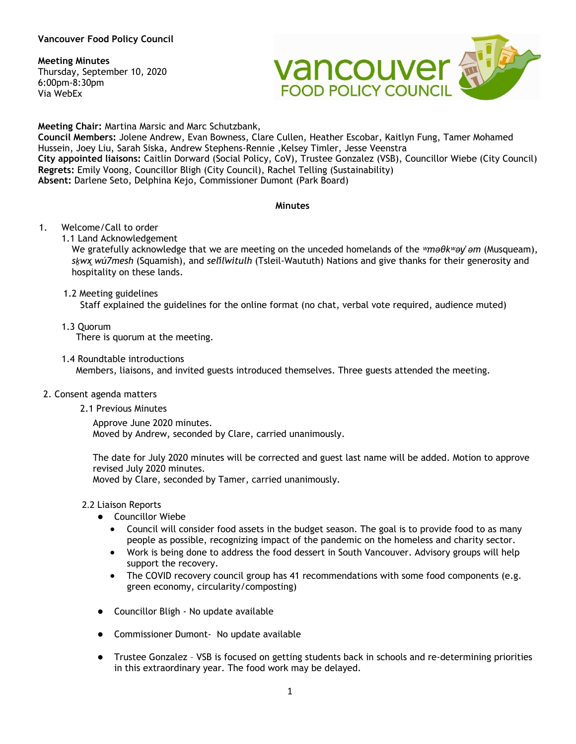## **Meeting Minutes**

Thursday, September 10, 2020 6:00pm-8:30pm Via WebEx



**Meeting Chair:** Martina Marsic and Marc Schutzbank,

**Council Members:** Jolene Andrew, Evan Bowness, Clare Cullen, Heather Escobar, Kaitlyn Fung, Tamer Mohamed Hussein, Joey Liu, Sarah Siska, Andrew Stephens-Rennie ,Kelsey Timler, Jesse Veenstra **City appointed liaisons:** Caitlin Dorward (Social Policy, CoV), Trustee Gonzalez (VSB), Councillor Wiebe (City Council) **Regrets:** Emily Voong, Councillor Bligh (City Council), Rachel Telling (Sustainability) **Absent:** Darlene Seto, Delphina Kejo, Commissioner Dumont (Park Board)

### **Minutes**

- 1. Welcome/Call to order
	- 1.1 Land Acknowledgement

We gratefully acknowledge that we are meeting on the unceded homelands of the *ʷməθkʷəy̓ əm* (Musqueam), *sḵwx̱wú7mesh* (Squamish), and *sel̓íl̓witulh* (Tsleil-Waututh) Nations and give thanks for their generosity and hospitality on these lands.

1.2 Meeting guidelines

Staff explained the guidelines for the online format (no chat, verbal vote required, audience muted)

- 1.3 Quorum There is quorum at the meeting.
- 1.4 Roundtable introductions Members, liaisons, and invited guests introduced themselves. Three guests attended the meeting.

## 2. Consent agenda matters

2.1 Previous Minutes

Approve June 2020 minutes. Moved by Andrew, seconded by Clare, carried unanimously.

The date for July 2020 minutes will be corrected and guest last name will be added. Motion to approve revised July 2020 minutes.

Moved by Clare, seconded by Tamer, carried unanimously.

2.2 Liaison Reports

- Councillor Wiebe
	- Council will consider food assets in the budget season. The goal is to provide food to as many people as possible, recognizing impact of the pandemic on the homeless and charity sector.
	- Work is being done to address the food dessert in South Vancouver. Advisory groups will help support the recovery.
	- The COVID recovery council group has 41 recommendations with some food components (e.g. green economy, circularity/composting)
- Councillor Bligh No update available
- Commissioner Dumont- No update available
- Trustee Gonzalez VSB is focused on getting students back in schools and re-determining priorities in this extraordinary year. The food work may be delayed.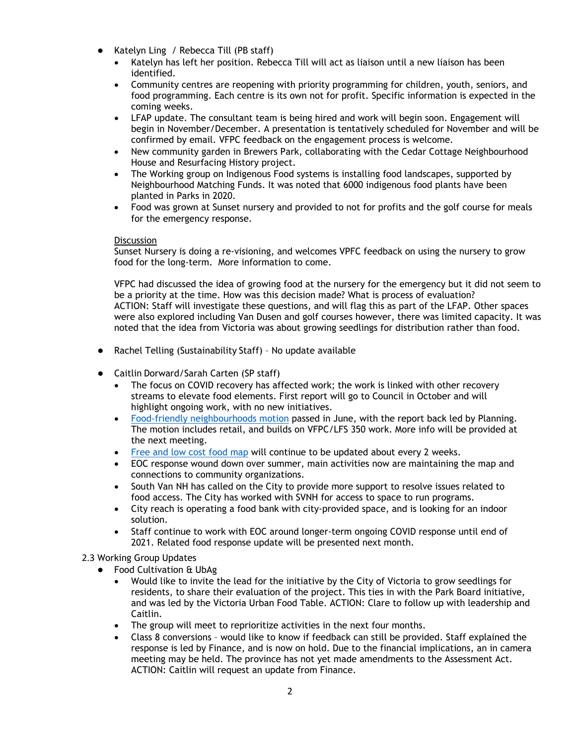- Katelyn Ling / Rebecca Till (PB staff)
	- Katelyn has left her position. Rebecca Till will act as liaison until a new liaison has been identified.
	- Community centres are reopening with priority programming for children, youth, seniors, and food programming. Each centre is its own not for profit. Specific information is expected in the coming weeks.
	- LFAP update. The consultant team is being hired and work will begin soon. Engagement will begin in November/December. A presentation is tentatively scheduled for November and will be confirmed by email. VFPC feedback on the engagement process is welcome.
	- New community garden in Brewers Park, collaborating with the Cedar Cottage Neighbourhood House and Resurfacing History project.
	- The Working group on Indigenous Food systems is installing food landscapes, supported by Neighbourhood Matching Funds. It was noted that 6000 indigenous food plants have been planted in Parks in 2020.
	- Food was grown at Sunset nursery and provided to not for profits and the golf course for meals for the emergency response.

### **Discussion**

Sunset Nursery is doing a re-visioning, and welcomes VPFC feedback on using the nursery to grow food for the long-term. More information to come.

VFPC had discussed the idea of growing food at the nursery for the emergency but it did not seem to be a priority at the time. How was this decision made? What is process of evaluation? ACTION: Staff will investigate these questions, and will flag this as part of the LFAP. Other spaces were also explored including Van Dusen and golf courses however, there was limited capacity. It was noted that the idea from Victoria was about growing seedlings for distribution rather than food.

- Rachel Telling (Sustainability Staff) No update available
- Caitlin Dorward/Sarah Carten (SP staff)
	- The focus on COVID recovery has affected work; the work is linked with other recovery streams to elevate food elements. First report will go to Council in October and will highlight ongoing work, with no new initiatives.
	- [Food-friendly neighbourhoods motion](https://council.vancouver.ca/20200623/documents/b5.pdf) passed in June, with the report back led by Planning. The motion includes retail, and builds on VFPC/LFS 350 work. More info will be provided at the next meeting.
	- [Free and low cost food map](https://vancouver.ca/files/cov/emergency-meal-program-map.pdf) will continue to be updated about every 2 weeks.
	- EOC response wound down over summer, main activities now are maintaining the map and connections to community organizations.
	- South Van NH has called on the City to provide more support to resolve issues related to food access. The City has worked with SVNH for access to space to run programs.
	- City reach is operating a food bank with city-provided space, and is looking for an indoor solution.
	- Staff continue to work with EOC around longer-term ongoing COVID response until end of 2021. Related food response update will be presented next month.

2.3 Working Group Updates

- Food Cultivation & UbAg
	- Would like to invite the lead for the initiative by the City of Victoria to grow seedlings for residents, to share their evaluation of the project. This ties in with the Park Board initiative, and was led by the Victoria Urban Food Table. ACTION: Clare to follow up with leadership and Caitlin.
	- The group will meet to reprioritize activities in the next four months.
	- Class 8 conversions would like to know if feedback can still be provided. Staff explained the response is led by Finance, and is now on hold. Due to the financial implications, an in camera meeting may be held. The province has not yet made amendments to the Assessment Act. ACTION: Caitlin will request an update from Finance.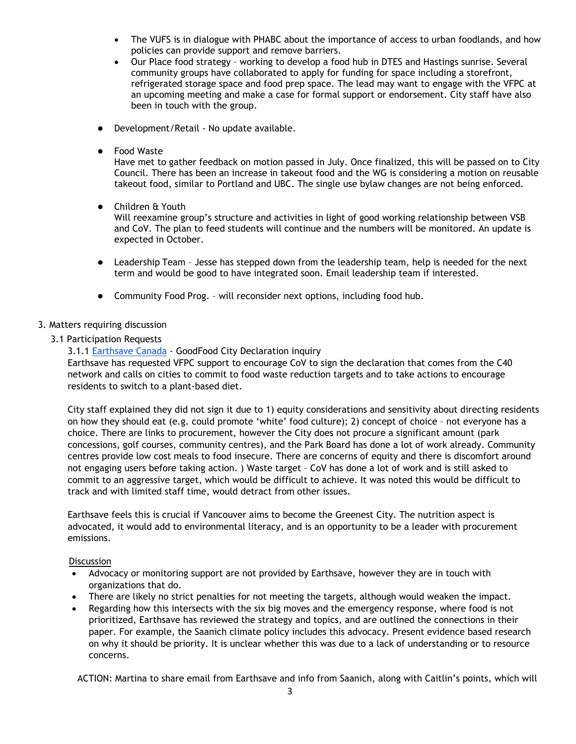- The VUFS is in dialogue with PHABC about the importance of access to urban foodlands, and how policies can provide support and remove barriers.
- Our Place food strategy working to develop a food hub in DTES and Hastings sunrise. Several community groups have collaborated to apply for funding for space including a storefront, refrigerated storage space and food prep space. The lead may want to engage with the VFPC at an upcoming meeting and make a case for formal support or endorsement. City staff have also been in touch with the group.
- Development/Retail No update available.
- Food Waste

Have met to gather feedback on motion passed in July. Once finalized, this will be passed on to City Council. There has been an increase in takeout food and the WG is considering a motion on reusable takeout food, similar to Portland and UBC. The single use bylaw changes are not being enforced.

Children & Youth

Will reexamine group's structure and activities in light of good working relationship between VSB and CoV. The plan to feed students will continue and the numbers will be monitored. An update is expected in October.

- Leadership Team Jesse has stepped down from the leadership team, help is needed for the next term and would be good to have integrated soon. Email leadership team if interested.
- Community Food Prog. will reconsider next options, including food hub.

# 3. Matters requiring discussion

3.1 Participation Requests

## 3.1.1 [Earthsave Canada](https://www.earthsave.ca/) - GoodFood City Declaration inquiry

Earthsave has requested VFPC support to encourage CoV to sign the declaration that comes from the C40 network and calls on cities to commit to food waste reduction targets and to take actions to encourage residents to switch to a plant-based diet.

City staff explained they did not sign it due to 1) equity considerations and sensitivity about directing residents on how they should eat (e.g. could promote 'white' food culture); 2) concept of choice – not everyone has a choice. There are links to procurement, however the City does not procure a significant amount (park concessions, golf courses, community centres), and the Park Board has done a lot of work already. Community centres provide low cost meals to food insecure. There are concerns of equity and there is discomfort around not engaging users before taking action. ) Waste target – CoV has done a lot of work and is still asked to commit to an aggressive target, which would be difficult to achieve. It was noted this would be difficult to track and with limited staff time, would detract from other issues.

Earthsave feels this is crucial if Vancouver aims to become the Greenest City. The nutrition aspect is advocated, it would add to environmental literacy, and is an opportunity to be a leader with procurement emissions.

## **Discussion**

- Advocacy or monitoring support are not provided by Earthsave, however they are in touch with organizations that do.
- There are likely no strict penalties for not meeting the targets, although would weaken the impact.
- Regarding how this intersects with the six big moves and the emergency response, where food is not prioritized, Earthsave has reviewed the strategy and topics, and are outlined the connections in their paper. For example, the Saanich climate policy includes this advocacy. Present evidence based research on why it should be priority. It is unclear whether this was due to a lack of understanding or to resource concerns.

ACTION: Martina to share email from Earthsave and info from Saanich, along with Caitlin's points, which will